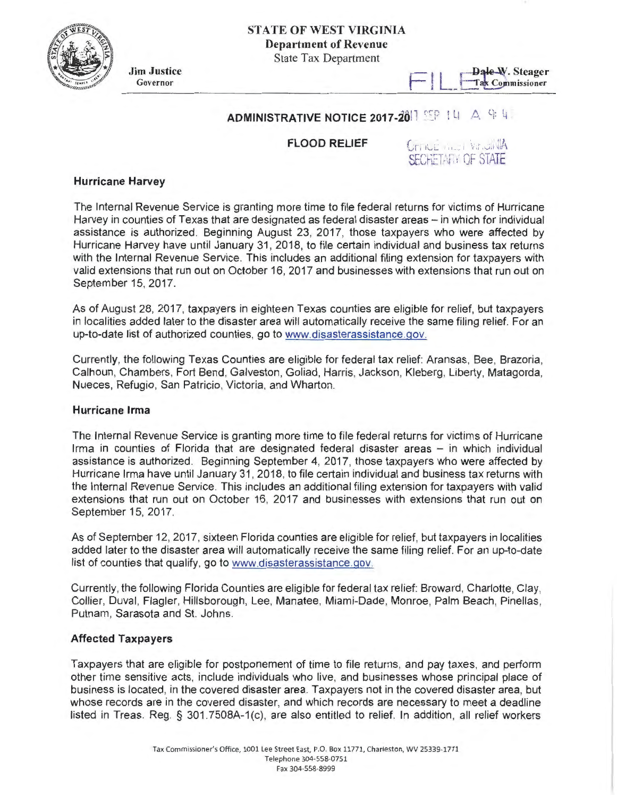

Jim Justice Governor

# Dale-W. Steager<br>Tax Commissioner

## ADMINISTRATIVE NOTICE 2017-2011 REP I LI A G L

FLOOD RELIEF

## CITILE ALLI VINJAVA SECHETATI OF STATE

### Hurricane Harvey

The Internal Revenue Service is granting more time to file federal returns for victims of Hurricane Harvey in counties of Texas that are designated as federal disaster areas – in which for individual assistance is authorized. Beginning August 23, 2017, those taxpayers who were affected by Hurricane Harvey have until January 31 , 2018, to file certain individual and business tax returns with the Internal Revenue Service. This includes an additional filing extension for taxpayers with valid extensions that run out on October 16, 2017 and businesses with extensions that run out on September 15, 2017.

As of August 28, 2017, taxpayers in eighteen Texas counties are eligible for relief, but taxpayers in localities added later to the disaster area will automatically receive the same filing relief. For an up-to-date list of authorized counties, go to www.disasterassistance.gov.

Currently, the following Texas Counties are eligible for federal tax relief: Aransas, Bee, Brazoria, Calhoun, Chambers, Fort Bend, Galveston, Goliad, Harris, Jackson, Kleberg, Liberty, Matagorda, Nueces, Refugio, San Patricio, Victoria, and Wharton.

#### Hurricane Irma

The Internal Revenue Service is granting more time to file federal returns for victims of Hurricane Irma in counties of Florida that are designated federal disaster areas - in which individual assistance is authorized. Beginning September 4, 2017, those taxpayers who were affected by Hurricane Irma have until January 31 , 2018, to file certain individual and business tax returns with the Internal Revenue Service. This includes an additional filing extension for taxpayers with valid extensions that run out on October 16, 2017 and businesses with extensions that run out on September 15, 2017.

As of September 12, 2017, sixteen Florida counties are eligible for relief, but taxpayers in localities added later to the disaster area will automatically receive the same filing relief. For an up-to-date list of counties that qualify, go to www.disasterassistance.gov.

Currently, the following Florida Counties are eligible for federal tax relief: Broward, Charlotte, Clay, Collier, Duval, Flagler, Hillsborough, Lee, Manatee, Miami-Dade, Monroe, Palm Beach, Pinellas, Putnam, Sarasota and St. Johns.

## Affected Taxpayers

Taxpayers that are eligible for postponement of time to file returns, and pay taxes, and perform other time sensitive acts, include individuals who live, and businesses whose principal place of business is located, in the covered disaster area. Taxpayers not in the covered disaster area, but whose records are in the covered disaster, and which records are necessary to meet a deadline listed in Treas. Reg. § 301.7508A-1(c), are also entitled to relief. In addition, all relief workers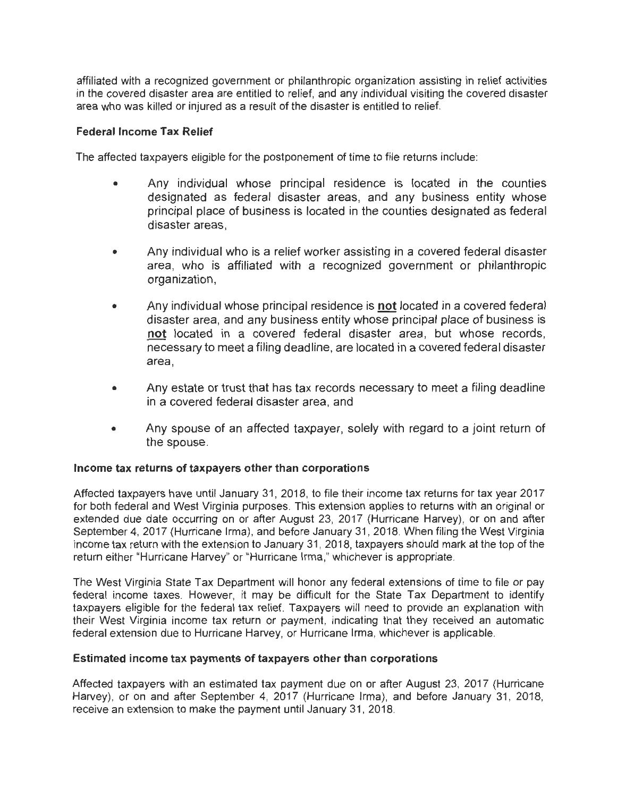affiliated with a recognized government or philanthropic organization assisting in relief activities in the covered disaster area are entitled to relief, and any individual visiting the covered disaster area who was killed or injured as a result of the disaster is entitled to relief.

## **Federal Income Tax Relief**

The affected taxpayers eligible for the postponement of time to file returns include:

- Any individual whose principal residence is located in the counties designated as federal disaster areas, and any business entity whose principal place of business is located in the counties designated as federal disaster areas,
- Any individual who is a relief worker assisting in a covered federal disaster area, who is affiliated with a recognized government or philanthropic organization,
- Any individual whose principal residence is **not** located in a covered federal disaster area, and any business entity whose principal place of business is **not** located in a covered federal disaster area, but whose records, necessary to meet a filing deadline, are located in a covered federal disaster area,
- Any estate or trust that has tax records necessary to meet a filing deadline in a covered federal disaster area, and
- Any spouse of an affected taxpayer, solely with regard to a joint return of the spouse.

## **Income tax returns of taxpayers other than corporations**

Affected taxpayers have until January 31, 2018, to file their income tax returns for tax year 2017 for both federal and West Virginia purposes. This extension applies to returns with an original or extended due date occurring on or after August 23, 2017 (Hurricane Harvey), or on and after September 4, 2017 (Hurricane Irma), and before January 31 , 2018. When filing the West Virginia income tax return with the extension to January 31 , 2018, taxpayers should mark at the top of the return either "Hurricane Harvey" or "Hurricane Irma," whichever is appropriate.

The West Virginia State Tax Department will honor any federal extensions of time to file or pay federal income taxes. However, it may be difficult for the State Tax Department to identify taxpayers eligible for the federal tax relief. Taxpayers will need to provide an explanation with their West Virginia income tax return or payment, indicating that they received an automatic federal extension due to Hurricane Harvey, or Hurricane Irma, whichever is applicable.

## **Estimated income tax payments of taxpayers other than corporations**

Affected taxpayers with an estimated tax payment due on or after August 23, 2017 (Hurricane Harvey), or on and after September 4, 2017 (Hurricane Irma), and before January 31 , 2018, receive an extension to make the payment until January 31, 2018.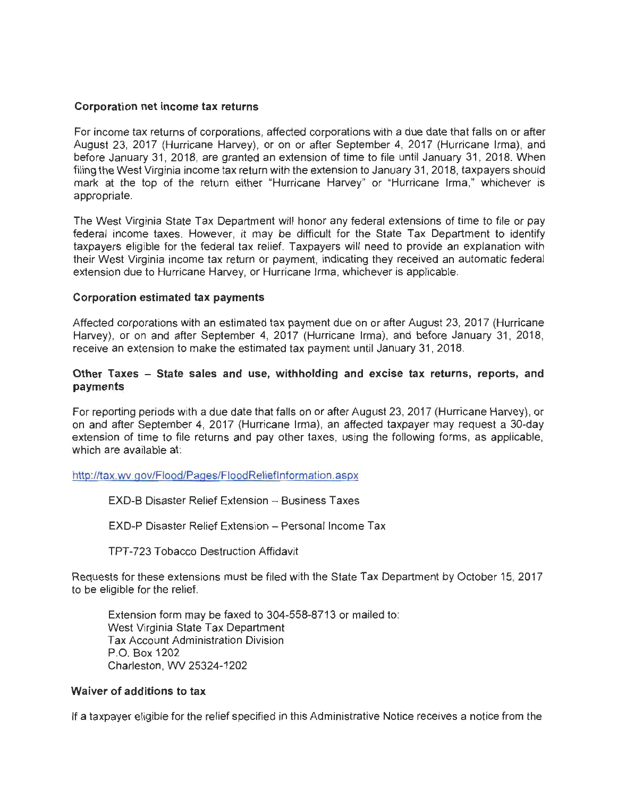### **Corporation net income tax returns**

For income tax returns of corporations, affected corporations with a due date that falls on or after August 23, 2017 (Hurricane Harvey), or on or after September 4, 2017 (Hurricane Irma), and before January 31 , 2018, are granted an extension of time to file until January 31, 2018. When filing the West Virginia income tax return with the extension to January 31 , 2018, taxpayers should mark at the top of the return either "Hurricane Harvey" or "Hurricane Irma," whichever is appropriate.

The West Virginia State Tax Department will honor any federal extensions of time to file or pay federal income taxes. However, it may be difficult for the State Tax Department to identify taxpayers eligible for the federal tax relief. Taxpayers will need to provide an explanation with their West Virginia income tax return or payment, indicating they received an automatic federal extension due to Hurricane Harvey, or Hurricane Irma, whichever is applicable.

#### **Corporation estimated tax payments**

Affected corporations with an estimated tax payment due on or after August 23, 2017 (Hurricane Harvey), or on and after September 4, 2017 (Hurricane Irma), and before January 31, 2018, receive an extension to make the estimated tax payment until January 31, 2018.

## **Other Taxes - State sales and use, withholding and excise tax returns, reports, and payments**

For reporting periods with a due date that falls on or after August 23, 2017 (Hurricane Harvey), or on and after September 4, 2017 (Hurricane Irma), an affected taxpayer may request a 30-day extension of time to file returns and pay other taxes, using the following forms, as applicable, which are available at:

#### http://tax.wv.gov/Flood/Pages/FloodReliefInformation.aspx

#### EXD-B Disaster Relief Extension - Business Taxes

EXD-P Disaster Relief Extension - Personal Income Tax

TPT-723 Tobacco Destruction Affidavit

Requests for these extensions must be filed with the State Tax Department by October 15, 2017 to be eligible for the relief.

Extension form may be faxed to 304-558-8713 or mailed to: West Virginia State Tax Department Tax Account Administration Division P.O. Box 1202 Charleston, WV 25324-1202

#### **Waiver of additions to tax**

If a taxpayer eligible for the relief specified in this Administrative Notice receives a notice from the